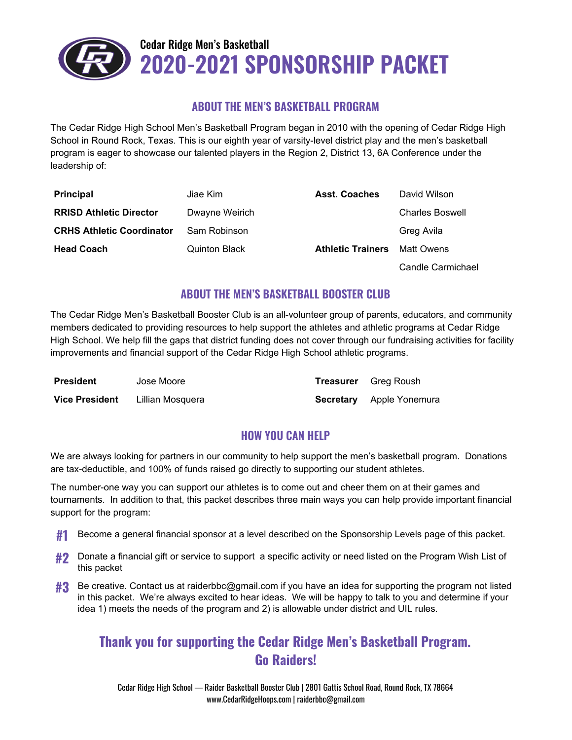

#### **ABOUT THE MEN'S BASKETBALL PROGRAM**

The Cedar Ridge High School Men's Basketball Program began in 2010 with the opening of Cedar Ridge High School in Round Rock, Texas. This is our eighth year of varsity-level district play and the men's basketball program is eager to showcase our talented players in the Region 2, District 13, 6A Conference under the leadership of:

| <b>Principal</b>                 | Jiae Kim                                         | <b>Asst. Coaches</b> | David Wilson           |
|----------------------------------|--------------------------------------------------|----------------------|------------------------|
| <b>RRISD Athletic Director</b>   | Dwayne Weirich                                   |                      | <b>Charles Boswell</b> |
| <b>CRHS Athletic Coordinator</b> | Sam Robinson                                     |                      | Greg Avila             |
| <b>Head Coach</b>                | <b>Quinton Black</b><br><b>Athletic Trainers</b> |                      | Matt Owens             |
|                                  |                                                  |                      | Candle Carmichael      |

#### **ABOUT THE MEN'S BASKETBALL BOOSTER CLUB**

The Cedar Ridge Men's Basketball Booster Club is an all-volunteer group of parents, educators, and community members dedicated to providing resources to help support the athletes and athletic programs at Cedar Ridge High School. We help fill the gaps that district funding does not cover through our fundraising activities for facility improvements and financial support of the Cedar Ridge High School athletic programs.

| <b>President</b>      | Jose Moore       | <b>Treasurer</b> Greg Roush     |
|-----------------------|------------------|---------------------------------|
| <b>Vice President</b> | Lillian Mosquera | <b>Secretary</b> Apple Yonemura |

#### **HOW YOU CAN HELP**

We are always looking for partners in our community to help support the men's basketball program. Donations are tax-deductible, and 100% of funds raised go directly to supporting our student athletes.

The number-one way you can support our athletes is to come out and cheer them on at their games and tournaments. In addition to that, this packet describes three main ways you can help provide important financial support for the program:

- **#1** Become <sup>a</sup> general financial sponsor at <sup>a</sup> level described on the Sponsorship Levels page of this packet.
- **#2** Donate a financial gift or service to support a specific activity or need listed on the Program Wish List of this packet
- **#3** Be creative. Contact us at raiderbbc@gmail.com if you have an idea for supporting the program not listed in this packet. We're always excited to hear ideas. We will be happy to talk to you and determine if your idea 1) meets the needs of the program and 2) is allowable under district and UIL rules.

### **Thank you for supporting the Cedar Ridge Men's Basketball Program. Go Raiders!**

Cedar Ridge High School — Raider Basketball Booster Club | 2801 Gattis School Road, Round Rock, TX 78664 www.CedarRidgeHoops.com | raiderbbc@gmail.com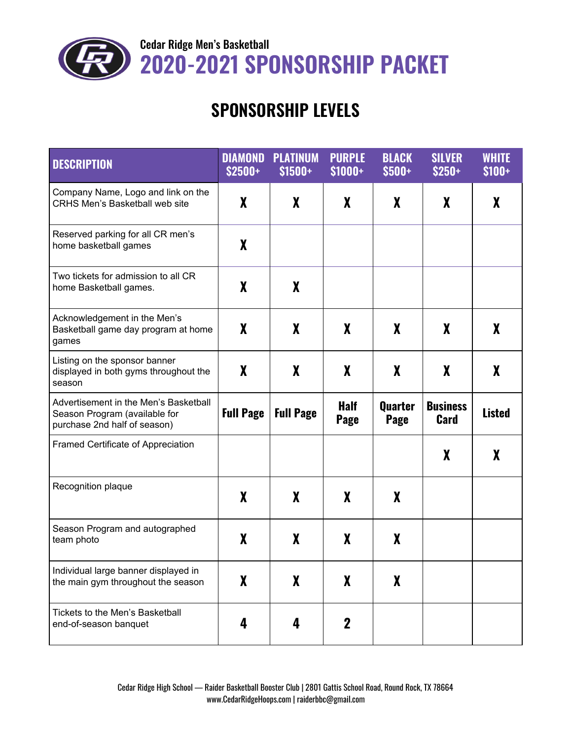

Cedar Ridge Men's Basketball **2020-2021 SPONSORSHIP PACKET**

# **SPONSORSHIP LEVELS**

| <b>DESCRIPTION</b>                                                                                     | <b>DIAMOND</b><br><b>\$2500+</b> | <b>PLATINUM</b><br>$$1500+$ | <b>PURPLE</b><br>$$1000+$  | <b>BLACK</b><br>$$500+$       | <b>SILVER</b><br>$$250+$       | <b>WHITE</b><br>$$100+$ |
|--------------------------------------------------------------------------------------------------------|----------------------------------|-----------------------------|----------------------------|-------------------------------|--------------------------------|-------------------------|
| Company Name, Logo and link on the<br><b>CRHS Men's Basketball web site</b>                            | X                                | X                           | X                          | X                             | X                              | X                       |
| Reserved parking for all CR men's<br>home basketball games                                             | X                                |                             |                            |                               |                                |                         |
| Two tickets for admission to all CR<br>home Basketball games.                                          | $\boldsymbol{X}$                 | X                           |                            |                               |                                |                         |
| Acknowledgement in the Men's<br>Basketball game day program at home<br>games                           | $\boldsymbol{X}$                 | X                           | X                          | $\boldsymbol{X}$              | X                              | X                       |
| Listing on the sponsor banner<br>displayed in both gyms throughout the<br>season                       | $\boldsymbol{X}$                 | X                           | X                          | $\boldsymbol{X}$              | X                              | X                       |
| Advertisement in the Men's Basketball<br>Season Program (available for<br>purchase 2nd half of season) | <b>Full Page</b>                 | <b>Full Page</b>            | <b>Half</b><br><b>Page</b> | <b>Quarter</b><br><b>Page</b> | <b>Business</b><br><b>Card</b> | <b>Listed</b>           |
| Framed Certificate of Appreciation                                                                     |                                  |                             |                            |                               | $\boldsymbol{X}$               | X                       |
| Recognition plaque                                                                                     | $\boldsymbol{X}$                 | X                           | X                          | X                             |                                |                         |
| Season Program and autographed<br>team photo                                                           | X                                | X                           | X                          | X                             |                                |                         |
| Individual large banner displayed in<br>the main gym throughout the season                             | $\boldsymbol{X}$                 | $\boldsymbol{X}$            | X                          | X                             |                                |                         |
| Tickets to the Men's Basketball<br>end-of-season banquet                                               | 4                                | 4                           | $\mathbf 2$                |                               |                                |                         |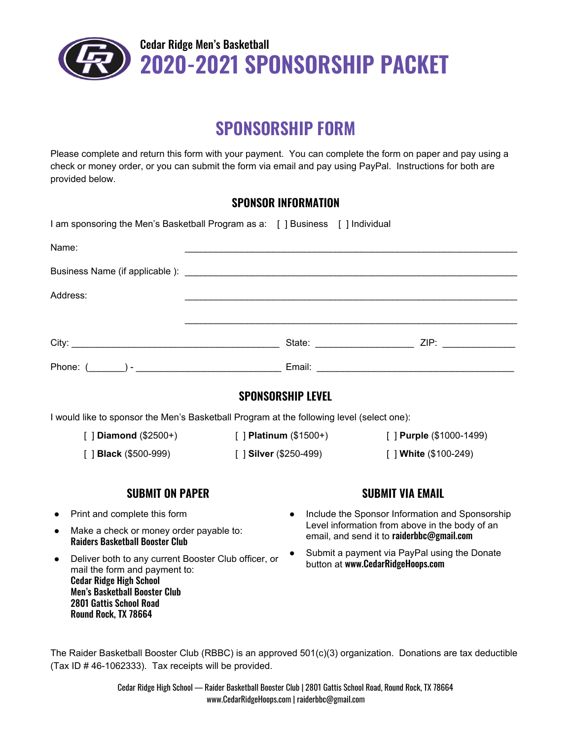

## **SPONSORSHIP FORM**

Please complete and return this form with your payment. You can complete the form on paper and pay using a check or money order, or you can submit the form via email and pay using PayPal. Instructions for both are provided below.

#### **SPONSOR INFORMATION**

| I am sponsoring the Men's Basketball Program as a: [ ] Business [ ] Individual                                                                                                                                                                                                                                                           |                                                                         |                                                                                             |                                                                                   |  |
|------------------------------------------------------------------------------------------------------------------------------------------------------------------------------------------------------------------------------------------------------------------------------------------------------------------------------------------|-------------------------------------------------------------------------|---------------------------------------------------------------------------------------------|-----------------------------------------------------------------------------------|--|
| Name:                                                                                                                                                                                                                                                                                                                                    |                                                                         |                                                                                             |                                                                                   |  |
|                                                                                                                                                                                                                                                                                                                                          |                                                                         |                                                                                             |                                                                                   |  |
| Address:                                                                                                                                                                                                                                                                                                                                 |                                                                         |                                                                                             |                                                                                   |  |
|                                                                                                                                                                                                                                                                                                                                          |                                                                         |                                                                                             |                                                                                   |  |
|                                                                                                                                                                                                                                                                                                                                          |                                                                         |                                                                                             |                                                                                   |  |
|                                                                                                                                                                                                                                                                                                                                          |                                                                         |                                                                                             |                                                                                   |  |
|                                                                                                                                                                                                                                                                                                                                          | <b>SPONSORSHIP LEVEL</b>                                                |                                                                                             |                                                                                   |  |
| I would like to sponsor the Men's Basketball Program at the following level (select one):                                                                                                                                                                                                                                                |                                                                         |                                                                                             |                                                                                   |  |
|                                                                                                                                                                                                                                                                                                                                          | [ ] Diamond (\$2500+) [ ] Platinum (\$1500+)<br>[] Purple (\$1000-1499) |                                                                                             |                                                                                   |  |
| [ ] <b>Black</b> (\$500-999)                                                                                                                                                                                                                                                                                                             | [ ] Silver (\$250-499)                                                  |                                                                                             | [ ] White (\$100-249)                                                             |  |
| <b>SUBMIT ON PAPER</b>                                                                                                                                                                                                                                                                                                                   |                                                                         |                                                                                             | <b>SUBMIT VIA EMAIL</b>                                                           |  |
| Print and complete this form                                                                                                                                                                                                                                                                                                             |                                                                         |                                                                                             | Include the Sponsor Information and Sponsorship                                   |  |
| Make a check or money order payable to:<br>$\bullet$<br><b>Raiders Basketball Booster Club</b><br>Deliver both to any current Booster Club officer, or<br>$\bullet$<br>mail the form and payment to:<br><b>Cedar Ridge High School</b><br><b>Men's Basketball Booster Club</b><br><b>2801 Gattis School Road</b><br>Round Rock, TX 78664 |                                                                         | Level information from above in the body of an<br>email, and send it to raiderbbc@gmail.com |                                                                                   |  |
|                                                                                                                                                                                                                                                                                                                                          |                                                                         |                                                                                             | Submit a payment via PayPal using the Donate<br>button at www.CedarRidgeHoops.com |  |

The Raider Basketball Booster Club (RBBC) is an approved 501(c)(3) organization. Donations are tax deductible (Tax ID # 46-1062333). Tax receipts will be provided.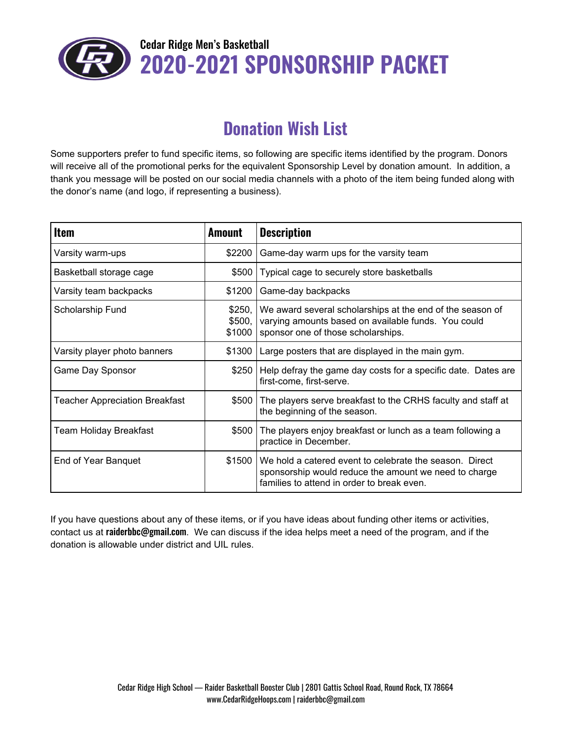

### Cedar Ridge Men's Basketball **2020-2021 SPONSORSHIP PACKET**

## **Donation Wish List**

Some supporters prefer to fund specific items, so following are specific items identified by the program. Donors will receive all of the promotional perks for the equivalent Sponsorship Level by donation amount. In addition, a thank you message will be posted on our social media channels with a photo of the item being funded along with the donor's name (and logo, if representing a business).

| <b>Item</b>                           | <b>Amount</b>              | <b>Description</b>                                                                                                                                             |
|---------------------------------------|----------------------------|----------------------------------------------------------------------------------------------------------------------------------------------------------------|
| Varsity warm-ups                      | \$2200                     | Game-day warm ups for the varsity team                                                                                                                         |
| Basketball storage cage               | \$500                      | Typical cage to securely store basketballs                                                                                                                     |
| Varsity team backpacks                | \$1200                     | Game-day backpacks                                                                                                                                             |
| Scholarship Fund                      | \$250,<br>\$500,<br>\$1000 | We award several scholarships at the end of the season of<br>varying amounts based on available funds. You could<br>sponsor one of those scholarships.         |
| Varsity player photo banners          | \$1300                     | Large posters that are displayed in the main gym.                                                                                                              |
| Game Day Sponsor                      | \$250                      | Help defray the game day costs for a specific date. Dates are<br>first-come, first-serve.                                                                      |
| <b>Teacher Appreciation Breakfast</b> | \$500                      | The players serve breakfast to the CRHS faculty and staff at<br>the beginning of the season.                                                                   |
| <b>Team Holiday Breakfast</b>         | \$500                      | The players enjoy breakfast or lunch as a team following a<br>practice in December.                                                                            |
| End of Year Banquet                   | \$1500                     | We hold a catered event to celebrate the season. Direct<br>sponsorship would reduce the amount we need to charge<br>families to attend in order to break even. |

If you have questions about any of these items, or if you have ideas about funding other items or activities, contact us at raiderbbc@gmail.com. We can discuss if the idea helps meet a need of the program, and if the donation is allowable under district and UIL rules.